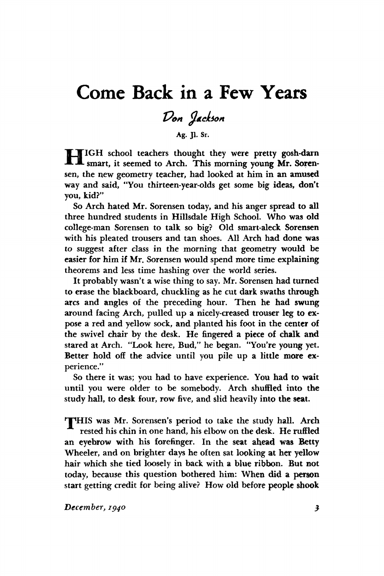## **Come Back in a Few Years**

## Don Jackson

**Ag. Jl. Sr.** 

**HIGH school teachers thought they were pretty gosh-darn smart, it seemed to Arch. This morning young Mr. Sorensen, the new geometry teacher, had looked at him in an amused way and said, "You thirteen-year-olds get some big ideas, don't you, kid?"** 

**So Arch hated Mr. Sorensen today, and his anger spread to all three hundred students in Hillsdale High School. Who was old college-man Sorensen to talk so big? Old smart-aleck Sorensen with his pleated trousers and tan shoes. All Arch had done was to suggest after class in the morning that geometry would be easier for him if Mr. Sorensen would spend more time explaining theorems and less time hashing over the world series.** 

**It probably wasn't a wise thing to say. Mr. Sorensen had turned to erase the blackboard, chuckling as he cut dark swaths through arcs and angles of the preceding hour. Then he had swung around facing Arch, pulled up a nicely-creased trouser leg to expose a red and yellow sock, and planted his foot in the center of the swivel chair by the desk. He fingered a piece of chalk and stared at Arch. "Look here, Bud," he began. "You're young yet. Better hold off the advice until you pile up a little more experience."** 

**So there it was; you had to have experience. You had to wait until you were older to be somebody. Arch shuffled into the study hall, to desk four, row five, and slid heavily into the seat.** 

**TpHIS was Mr. Sorensen's period to take the study hall. Arch rested his chin in one hand, his elbow on the desk. He ruffled an eyebrow with his forefinger. In the seat ahead was Betty Wheeler, and on brighter days he often sat looking at her yellow hair which she tied loosely in back with a blue ribbon. But not today, because this question bothered him: When did a person start getting credit for being alive? How old before people shook** 

**December, 1940 \$ \$**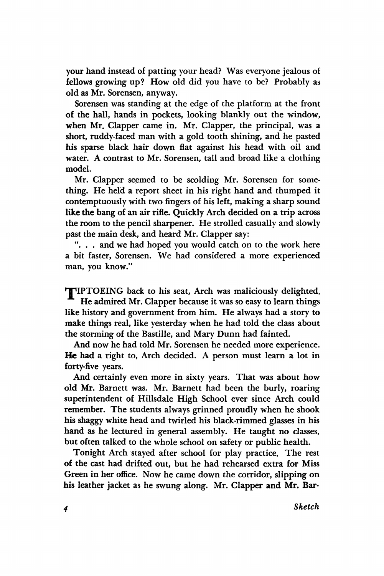**your hand instead of patting your head? Was everyone jealous of fellows growing up? How old did you have to be? Probably as old as Mr. Sorensen, anyway.** 

**Sorensen was standing at the edge of the platform at the front of the hall, hands in pockets, looking blankly out the window, when Mr. Clapper came in. Mr. Clapper, the principal, was a short, ruddy-faced man with a gold tooth shining, and he pasted his sparse black hair down flat against his head with oil and water. A contrast to Mr. Sorensen, tall and broad like a clothing model.** 

**Mr. Clapper seemed to be scolding Mr. Sorensen for something. He held a report sheet in his right hand and thumped it contemptuously with two fingers of his left, making a sharp sound like the bang of an air rifle. Quickly Arch decided on a trip across the room to the pencil sharpener. He strolled casually and slowly past the main desk, and heard Mr. Clapper say:** 

**". . . and we had hoped you would catch on to the work here a bit faster, Sorensen. We had considered a more experienced man, you know."** 

**HPIPTOEING** back to his seat, Arch was maliciously delighted. **He admired Mr. Clapper because it was so easy to learn things like history and government from him. He always had a story to make things real, like yesterday when he had told the class about the storming of the Bastille, and Mary Dunn had fainted.** 

**And now he had told Mr. Sorensen he needed more experience. He had a right to, Arch decided. A person must learn a lot in forty-five years.** 

**And certainly even more in sixty years. That was about how old Mr. Barnett was. Mr. Barnett had been the burly, roaring superintendent of Hillsdale High School ever since Arch could remember. The students always grinned proudly when he shook his shaggy white head and twirled his black-rimmed glasses in his hand as he lectured in general assembly. He taught no classes, but often talked to the whole school on safety or public health.** 

**Tonight Arch stayed after school for play practice. The rest of the cast had drifted out, but he had rehearsed extra for Miss Green in her office. Now he came down the corridor, slipping on his leather jacket as he swung along. Mr. Clapper and Mr. Bar-**